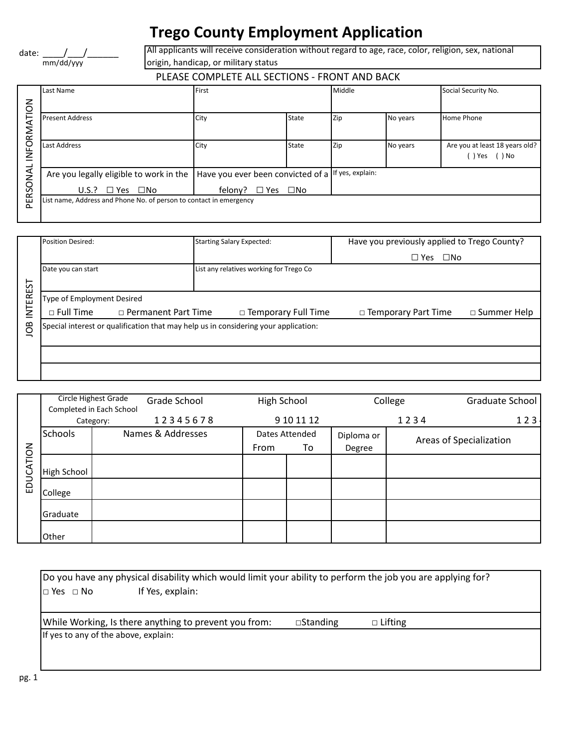## **Trego County Employment Application**

date: \_\_\_\_\_\_/\_\_\_\_\_/\_\_\_\_\_\_\_\_\_\_ mm/dd/yyy

All applicants will receive consideration without regard to age, race, color, religion, sex, national origin, handicap, or military status

## PLEASE COMPLETE ALL SECTIONS - FRONT AND BACK

|        | Last Name                                                          | First                                              |              | Middle |          | Social Security No.            |
|--------|--------------------------------------------------------------------|----------------------------------------------------|--------------|--------|----------|--------------------------------|
| る      |                                                                    |                                                    |              |        |          |                                |
| ⊢      | <b>Present Address</b>                                             | City                                               | State        | Zip    | No years | <b>Home Phone</b>              |
| ≩      |                                                                    |                                                    |              |        |          |                                |
| 요      | Last Address                                                       | City                                               | State        | Zip    | No years | Are you at least 18 years old? |
|        |                                                                    |                                                    |              |        |          | () Yes () No                   |
|        | Are you legally eligible to work in the                            | Have you ever been convicted of a lf yes, explain: |              |        |          |                                |
| O<br>ě | $U.S.? \square Yes \square No$                                     | $\square$ Yes<br>felony?                           | $\square$ No |        |          |                                |
| 뿐      | List name, Address and Phone No. of person to contact in emergency |                                                    |              |        |          |                                |
|        |                                                                    |                                                    |              |        |          |                                |

|              | <b>Position Desired:</b>                                                            |  | <b>Starting Salary Expected:</b>        | Have you previously applied to Trego County? |                       |  |  |  |
|--------------|-------------------------------------------------------------------------------------|--|-----------------------------------------|----------------------------------------------|-----------------------|--|--|--|
|              |                                                                                     |  |                                         | $\Box$ Yes<br>$\Box$ No                      |                       |  |  |  |
|              | Date you can start                                                                  |  | List any relatives working for Trego Co |                                              |                       |  |  |  |
|              |                                                                                     |  |                                         |                                              |                       |  |  |  |
| <b>EREST</b> | Type of Employment Desired                                                          |  |                                         |                                              |                       |  |  |  |
| 들            | $\Box$ Full Time<br>□ Permanent Part Time                                           |  | $\Box$ Temporary Full Time              | $\Box$ Temporary Part Time                   | $\square$ Summer Help |  |  |  |
| <b>SOI</b>   | Special interest or qualification that may help us in considering your application: |  |                                         |                                              |                       |  |  |  |
|              |                                                                                     |  |                                         |                                              |                       |  |  |  |
|              |                                                                                     |  |                                         |                                              |                       |  |  |  |
|              |                                                                                     |  |                                         |                                              |                       |  |  |  |

| <b>INTEREST</b> | Type of Employment Desired                                                          |                                                  |              |                            |                |                       |                         |                 |
|-----------------|-------------------------------------------------------------------------------------|--------------------------------------------------|--------------|----------------------------|----------------|-----------------------|-------------------------|-----------------|
|                 | $\Box$ Full Time<br>$\Box$ Permanent Part Time                                      |                                                  |              | $\Box$ Temporary Full Time |                | □ Temporary Part Time | □ Summer Help           |                 |
| <b>SO</b>       | Special interest or qualification that may help us in considering your application: |                                                  |              |                            |                |                       |                         |                 |
|                 |                                                                                     |                                                  |              |                            |                |                       |                         |                 |
|                 |                                                                                     |                                                  |              |                            |                |                       |                         |                 |
|                 |                                                                                     | Circle Highest Grade<br>Completed in Each School | Grade School | <b>High School</b>         |                |                       | College                 | Graduate School |
|                 |                                                                                     | Category:                                        | 12345678     |                            | 9 10 11 12     |                       | 1234                    | 123             |
|                 | <b>Schools</b>                                                                      | Names & Addresses                                |              |                            | Dates Attended |                       | Areas of Specialization |                 |
| EDUCATION       |                                                                                     |                                                  |              | From                       | To             | Degree                |                         |                 |
|                 | High School                                                                         |                                                  |              |                            |                |                       |                         |                 |
|                 | College                                                                             |                                                  |              |                            |                |                       |                         |                 |
|                 | Graduate                                                                            |                                                  |              |                            |                |                       |                         |                 |
|                 |                                                                                     |                                                  |              |                            |                |                       |                         |                 |

| [Do you have any physical disability which would limit your ability to perform the job you are applying for? |                    |                |  |  |  |  |  |
|--------------------------------------------------------------------------------------------------------------|--------------------|----------------|--|--|--|--|--|
| If Yes, explain:<br>$\Box$ Yes $\Box$ No                                                                     |                    |                |  |  |  |  |  |
|                                                                                                              |                    |                |  |  |  |  |  |
| While Working, Is there anything to prevent you from:                                                        | $\square$ Standing | $\Box$ Lifting |  |  |  |  |  |
| If yes to any of the above, explain:                                                                         |                    |                |  |  |  |  |  |
|                                                                                                              |                    |                |  |  |  |  |  |
|                                                                                                              |                    |                |  |  |  |  |  |